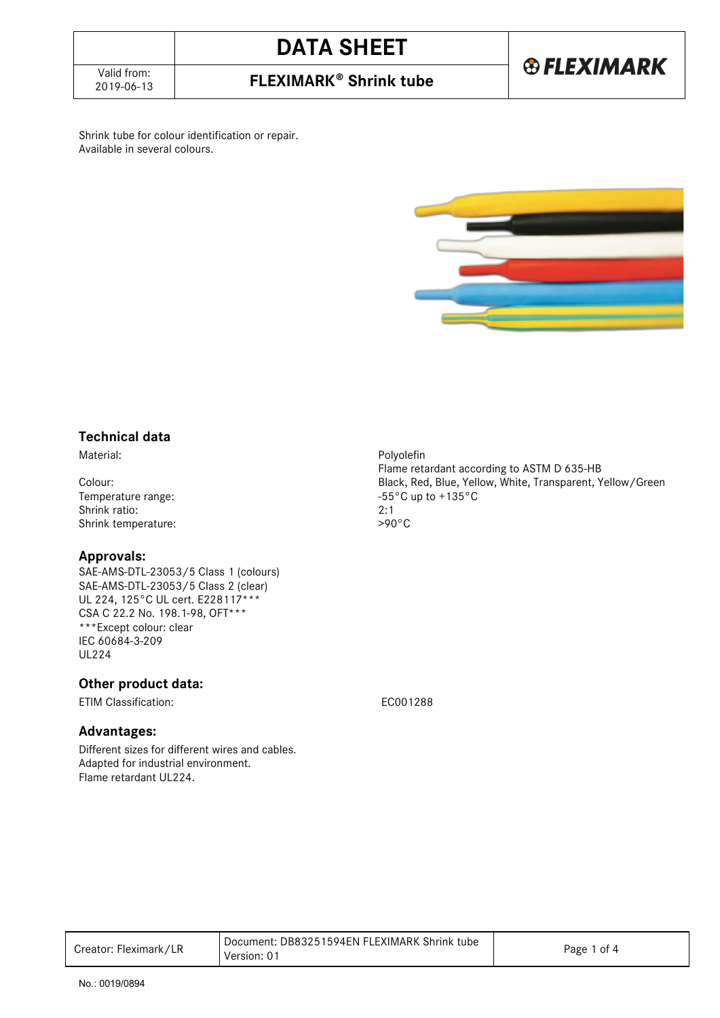**FLEXIMARK<sup>®</sup> Shrink tube** 

Shrink tube for colour identification or repair. Available in several colours.



### **Technical data**

Temperature range: 455°C up to +135°C up to +135°C up to +135°C up to +135°C up to +135°C up to +135°C up to +135°C up to +135°C up to +135°C up to +135°C up to +135°C up to +135°C up to +135°C up to +135°C up to +135°C up Shrink ratio: 2:1<br>Shrink temperature: 2:1<br>200°C Shrink temperature:

### **Approvals:**

SAE-AMS-DTL-23053/5 Class 1 (colours) SAE-AMS-DTL-23053/5 Class 2 (clear) UL 224, 125°C UL cert. E228117\*\*\* CSA C 22.2 No. 198.1-98, OFT\*\*\* \*\*\*Except colour: clear IEC 60684-3-209 UL224

### **Other product data:**

ETIM Classification: EC001288

### **Advantages:**

Different sizes for different wires and cables. Adapted for industrial environment. Flame retardant UL224.

Material: Polyolefin Flame retardant according to ASTM D 635-HB Colour:<br>
Black, Red, Blue, Yellow, White, Transparent, Yellow/Green<br>
-55°C up to +135°C

| Document: DB83251594EN FLEXIMARK Shrink tube<br>Creator: Fleximark/LR<br>Page 1<br>` of 4<br>Version: 01 |  |
|----------------------------------------------------------------------------------------------------------|--|
|----------------------------------------------------------------------------------------------------------|--|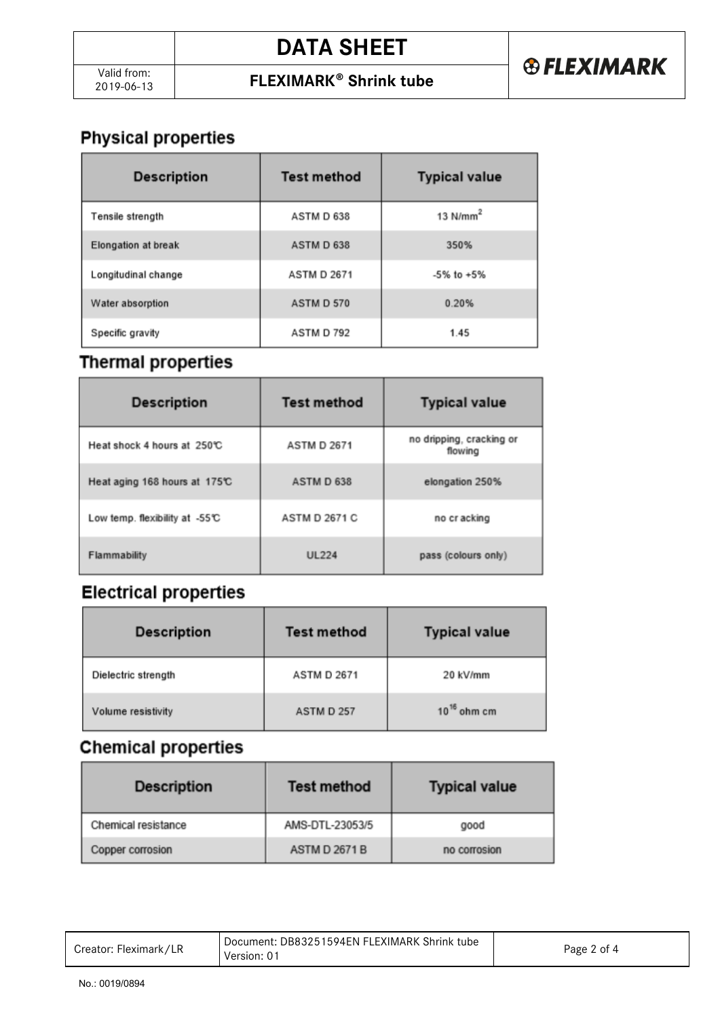### **FLEXIMARK<sup>®</sup> Shrink tube**

### **Physical properties**

| <b>Description</b>  | <b>Test method</b> | <b>Typical value</b> |
|---------------------|--------------------|----------------------|
| Tensile strength    | ASTM D 638         | 13 $N/mm2$           |
| Elongation at break | ASTM D 638         | 350%                 |
| Longitudinal change | <b>ASTM D 2671</b> | $-5\%$ to $+5\%$     |
| Water absorption    | ASTM D 570         | 0.20%                |
| Specific gravity    | ASTM D 792         | 1.45                 |

## **Thermal properties**

| <b>Description</b>                       | <b>Test method</b>   | <b>Typical value</b>                |
|------------------------------------------|----------------------|-------------------------------------|
| Heat shock 4 hours at 250℃               | <b>ASTM D 2671</b>   | no dripping, cracking or<br>flowing |
| Heat aging 168 hours at 175℃             | ASTM D 638           | elongation 250%                     |
| Low temp. flexibility at $-55^{\circ}$ C | <b>ASTM D 2671 C</b> | no cracking                         |
| Flammability                             | <b>UL224</b>         | pass (colours only)                 |

## **Electrical properties**

| <b>Description</b>  | Test method        | <b>Typical value</b> |
|---------------------|--------------------|----------------------|
| Dielectric strength | <b>ASTM D 2671</b> | 20 kV/mm             |
| Volume resistivity  | ASTM D 257         | $10^{16}$ ohm cm     |

## **Chemical properties**

| <b>Description</b>  | <b>Test method</b>   | <b>Typical value</b> |
|---------------------|----------------------|----------------------|
| Chemical resistance | AMS-DTL-23053/5      | good                 |
| Copper corrosion    | <b>ASTM D 2671 B</b> | no corrosion         |

| Creator: Fleximark/LR | Document: DB83251594EN FLEXIMARK Shrink tube<br>Version: 01 | Page 2 of 4 |
|-----------------------|-------------------------------------------------------------|-------------|
|-----------------------|-------------------------------------------------------------|-------------|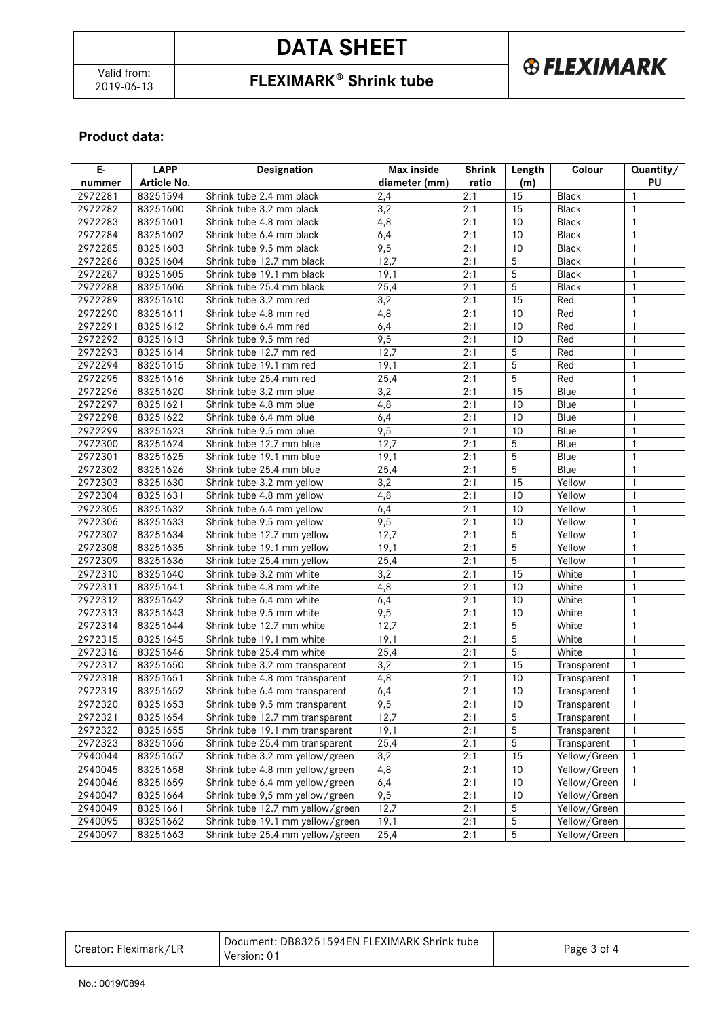# **DATA SHEET**

### **FLEXIMARK<sup>®</sup> Shrink tube**

# **®FLEXIMARK**

### **Product data:**

| E-      | <b>LAPP</b> | Designation                      | Max inside    | <b>Shrink</b> | Length          | Colour       | Quantity/      |
|---------|-------------|----------------------------------|---------------|---------------|-----------------|--------------|----------------|
| nummer  | Article No. |                                  | diameter (mm) | ratio         | (m)             |              | <b>PU</b>      |
| 2972281 | 83251594    | Shrink tube 2.4 mm black         | 2,4           | 2:1           | 15              | Black        | $\mathbf{1}$   |
| 2972282 | 83251600    | Shrink tube 3.2 mm black         | 3,2           | 2:1           | 15              | Black        | $\mathbf{1}$   |
| 2972283 | 83251601    | Shrink tube 4.8 mm black         | 4,8           | 2:1           | 10              | Black        | $\mathbf{1}$   |
| 2972284 | 83251602    | Shrink tube 6.4 mm black         | 6,4           | 2:1           | 10              | Black        | $\mathbf{1}$   |
| 2972285 | 83251603    | Shrink tube 9.5 mm black         | 9,5           | 2:1           | 10              | Black        | $\mathbf{1}$   |
| 2972286 | 83251604    | Shrink tube 12.7 mm black        | 12,7          | 2:1           | 5               | Black        | $\mathbf{1}$   |
| 2972287 | 83251605    | Shrink tube 19.1 mm black        | 19,1          | 2:1           | 5               | Black        | $\mathbf{1}$   |
| 2972288 | 83251606    | Shrink tube 25.4 mm black        | 25,4          | 2:1           | 5               | Black        | $\mathbf{1}$   |
| 2972289 | 83251610    | Shrink tube 3.2 mm red           | 3,2           | 2:1           | $\overline{15}$ | Red          | $\mathbf{1}$   |
| 2972290 | 83251611    | Shrink tube 4.8 mm red           | 4,8           | 2:1           | 10              | Red          | $\mathbf{1}$   |
| 2972291 | 83251612    | Shrink tube 6.4 mm red           | 6,4           | 2:1           | 10              | Red          | $\mathbf{1}$   |
| 2972292 | 83251613    | Shrink tube 9.5 mm red           | 9,5           | 2:1           | 10              | Red          | $\mathbf{1}$   |
| 2972293 | 83251614    | Shrink tube 12.7 mm red          | 12,7          | 2:1           | 5               | Red          | $\mathbf{1}$   |
| 2972294 | 83251615    | Shrink tube 19.1 mm red          | 19,1          | 2:1           | 5               | Red          | $\mathbf{1}$   |
| 2972295 | 83251616    | Shrink tube 25.4 mm red          | 25,4          | 2:1           | 5               | Red          | $\mathbf{1}$   |
| 2972296 | 83251620    | Shrink tube 3.2 mm blue          | 3,2           | 2:1           | 15              | Blue         | $\mathbf{1}$   |
| 2972297 | 83251621    | Shrink tube 4.8 mm blue          | 4,8           | 2:1           | 10              | Blue         | $\mathbf{1}$   |
| 2972298 | 83251622    | Shrink tube 6.4 mm blue          | 6,4           | 2:1           | 10              | Blue         | $\mathbf{1}$   |
| 2972299 | 83251623    | Shrink tube 9.5 mm blue          | 9,5           | 2:1           | 10              | Blue         | $\mathbf{1}$   |
| 2972300 | 83251624    | Shrink tube 12.7 mm blue         | 12,7          | 2:1           | 5               | Blue         | $\mathbf{1}$   |
| 2972301 | 83251625    | Shrink tube 19.1 mm blue         | 19,1          | 2:1           | 5               | Blue         | $\mathbf{1}$   |
| 2972302 | 83251626    | Shrink tube 25.4 mm blue         | 25,4          | 2:1           | 5               | Blue         | $\mathbf{1}$   |
| 2972303 | 83251630    | Shrink tube 3.2 mm yellow        | 3,2           | 2:1           | $\overline{15}$ | Yellow       | $\mathbf{1}$   |
| 2972304 | 83251631    | Shrink tube 4.8 mm yellow        | 4,8           | 2:1           | 10              | Yellow       | $\mathbf{1}$   |
| 2972305 | 83251632    | Shrink tube 6.4 mm yellow        | 6,4           | 2:1           | 10              | Yellow       | $\mathbf{1}$   |
| 2972306 | 83251633    | Shrink tube 9.5 mm yellow        | 9,5           | 2:1           | 10              | Yellow       | $\mathbf{1}$   |
| 2972307 | 83251634    | Shrink tube 12.7 mm yellow       | 12,7          | 2:1           | 5               | Yellow       | $\mathbf{1}$   |
| 2972308 | 83251635    | Shrink tube 19.1 mm yellow       | 19,1          | 2:1           | 5               | Yellow       | $\mathbf{1}$   |
| 2972309 | 83251636    | Shrink tube 25.4 mm yellow       | 25,4          | 2:1           | 5               | Yellow       | $\mathbf{1}$   |
| 2972310 | 83251640    | Shrink tube 3.2 mm white         | 3,2           | 2:1           | 15              | White        | 1              |
| 2972311 | 83251641    | Shrink tube 4.8 mm white         | 4,8           | 2:1           | 10              | White        | $\mathbf{1}$   |
| 2972312 | 83251642    | Shrink tube 6.4 mm white         | 6,4           | 2:1           | 10              | White        | $\mathbf{1}$   |
| 2972313 | 83251643    | Shrink tube 9.5 mm white         | 9,5           | 2:1           | 10              | White        | $\mathbf{1}$   |
| 2972314 | 83251644    | Shrink tube 12.7 mm white        | 12,7          | 2:1           | 5               | White        | $\mathbf{1}$   |
| 2972315 | 83251645    | Shrink tube 19.1 mm white        | 19,1          | 2:1           | 5               | White        | $\mathbf{1}$   |
| 2972316 | 83251646    | Shrink tube 25.4 mm white        | 25,4          | 2:1           | 5               | White        | $\mathbf{1}$   |
| 2972317 | 83251650    | Shrink tube 3.2 mm transparent   | 3,2           | 2:1           | 15              | Transparent  | $\mathbf{1}$   |
| 2972318 | 83251651    | Shrink tube 4.8 mm transparent   | 4,8           | 2:1           | 10              | Transparent  | $\mathbf{1}$   |
| 2972319 | 83251652    | Shrink tube 6.4 mm transparent   | 6,4           | 2:1           | 10              | Transparent  | $\mathbf{1}$   |
| 2972320 | 83251653    | Shrink tube 9.5 mm transparent   | 9,5           | 2:1           | 10              | Transparent  | 1              |
| 2972321 | 83251654    | Shrink tube 12.7 mm transparent  | 12,7          | 2:1           | 5               | Transparent  | $\overline{1}$ |
| 2972322 | 83251655    | Shrink tube 19.1 mm transparent  | 19,1          | 2:1           | 5               | Transparent  | $\mathbf{1}$   |
| 2972323 | 83251656    | Shrink tube 25.4 mm transparent  | 25,4          | 2:1           | 5               | Transparent  | $\mathbf{1}$   |
| 2940044 | 83251657    | Shrink tube 3.2 mm yellow/green  | 3,2           | 2:1           | 15              | Yellow/Green | $\mathbf{1}$   |
| 2940045 | 83251658    | Shrink tube 4.8 mm yellow/green  | 4,8           | 2:1           | 10              | Yellow/Green |                |
| 2940046 | 83251659    | Shrink tube 6.4 mm yellow/green  | 6,4           | 2:1           | 10              | Yellow/Green | $\mathbf{1}$   |
| 2940047 | 83251664    | Shrink tube 9,5 mm yellow/green  | 9,5           | 2:1           | 10              | Yellow/Green |                |
| 2940049 | 83251661    | Shrink tube 12.7 mm yellow/green | 12,7          | 2:1           | 5               | Yellow/Green |                |
| 2940095 | 83251662    | Shrink tube 19.1 mm yellow/green | 19,1          | 2:1           | 5               | Yellow/Green |                |
| 2940097 | 83251663    | Shrink tube 25.4 mm yellow/green | 25,4          | 2:1           | $\overline{5}$  | Yellow/Green |                |

|  | Creator: Fleximark/LR | Document: DB83251594EN FLEXIMARK Shrink tube<br>Version: 01 | Page 3 of 4 |
|--|-----------------------|-------------------------------------------------------------|-------------|
|--|-----------------------|-------------------------------------------------------------|-------------|